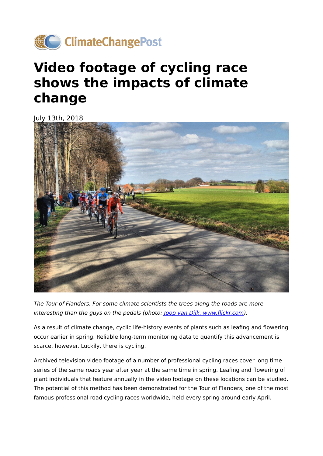

## **Video footage of cycling race shows the impacts of climate change**

July 13th, 2018



The Tour of Flanders. For some climate scientists the trees along the roads are more interesting than the guys on the pedals (photo: [Joop van Dijk,](https://www.flickr.com/photos/joopvandijk/7042862127/in/photolist-bJmvxn-6cKMCB-6cPV3J-6cKKyi-rSNP2U-s8647C-rdzfCc-rR3KFM-rSNCBA-rdnV4A-sajFTR-rSMt3A-rSNBnG-rSMzMY-rSMAEE-rSMu2j-rSNCyQ-rdnJMo-rSNNSA-sanStg-rR3Xf8-rSVP8R-22YKaWu-rSMu9d-sanHhk-saeyTj-rdnRL3-rdzpRx-s866aW-rSVJKx-rSVCAZ-rR3TcD-sajLHR-saewzb-9HV8nP-s85WqS-rdnQPJ-rdzpiD-sajN9X-9HV7Ja-vJTmC-25JJrV6-22YKqJf-rYZqCZ-rGwqyQ-r3fRF6-rEKkq6-22YK8sS-bJfsvR-9HY1Ed) www.flickr.com).

As a result of climate change, cyclic life-history events of plants such as leafing and flowering occur earlier in spring. Reliable long-term monitoring data to quantify this advancement is scarce, however. Luckily, there is cycling.

Archived television video footage of a number of professional cycling races cover long time series of the same roads year after year at the same time in spring. Leafing and flowering of plant individuals that feature annually in the video footage on these locations can be studied. The potential of this method has been demonstrated for the Tour of Flanders, one of the most famous professional road cycling races worldwide, held every spring around early April.